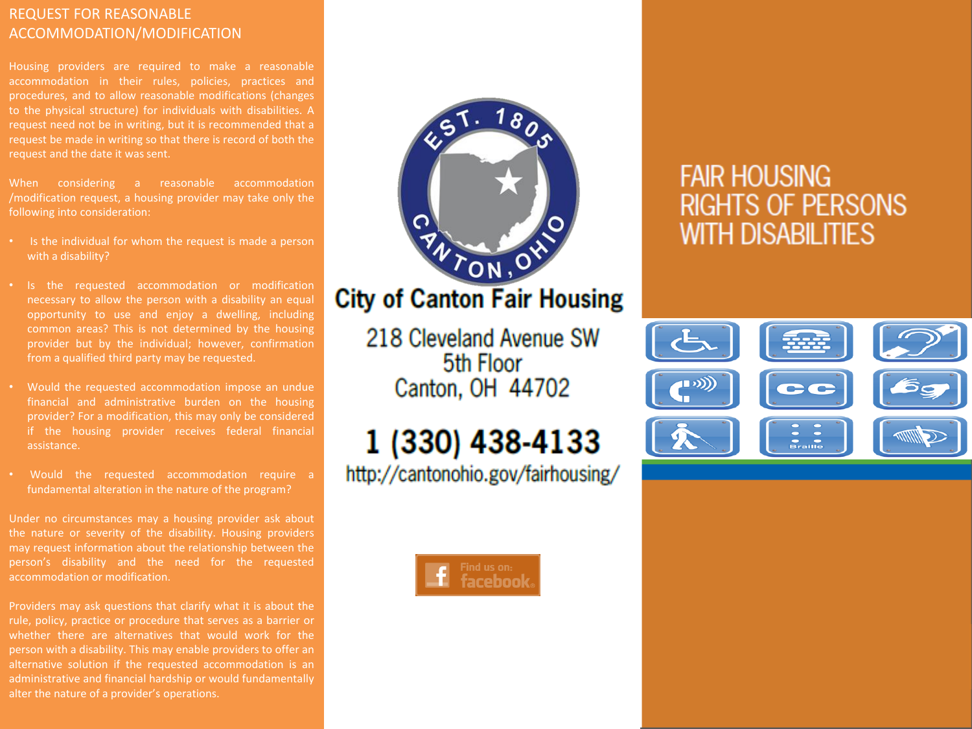### REQUEST FOR REASONABLE ACCOMMODATION/MODIFICATION

Housing providers are required to make a reasonable accommodation in their rules, policies, practices and procedures, and to allow reasonable modifications (changes to the physical structure) for individuals with disabilities. A request need not be in writing, but it is recommended that a request be made in writing so that there is record of both the request and the date it was sent.

When considering a reasonable accommodation /modification request, a housing provider may take only the following into consideration:

- Is the individual for whom the request is made a person with a disability?
- Is the requested accommodation or modification necessary to allow the person with a disability an equal opportunity to use and enjoy a dwelling, including common areas? This is not determined by the housing from a qualified third party may be requested.
- Would the requested accommodation impose an undue financial and administrative burden on the housing provider? For a modification, this may only be considered if the housing provider receives federal financial assistance.
- Would the requested accommodation require a fundamental alteration in the nature of the program?

Under no circumstances may a housing provider ask about the nature or severity of the disability. Housing providers may request information about the relationship between the person's disability and the need for the requested accommodation or modification.

Providers may ask questions that clarify what it is about the rule, policy, practice or procedure that serves as a barrier or whether there are alternatives that would work for the person with a disability. This may enable providers to offer an alternative solution if the requested accommodation is an administrative and financial hardship or would fundamentally alter the nature of a provider's operations.

# TON, OY

## **City of Canton Fair Housing**

218 Cleveland Avenue SW 5th Floor Canton, OH 44702

# 1 (330) 438-4133

http://cantonohio.gov/fairhousing/



# **FAIR HOUSING RIGHTS OF PERSONS WITH DISABILITIES**